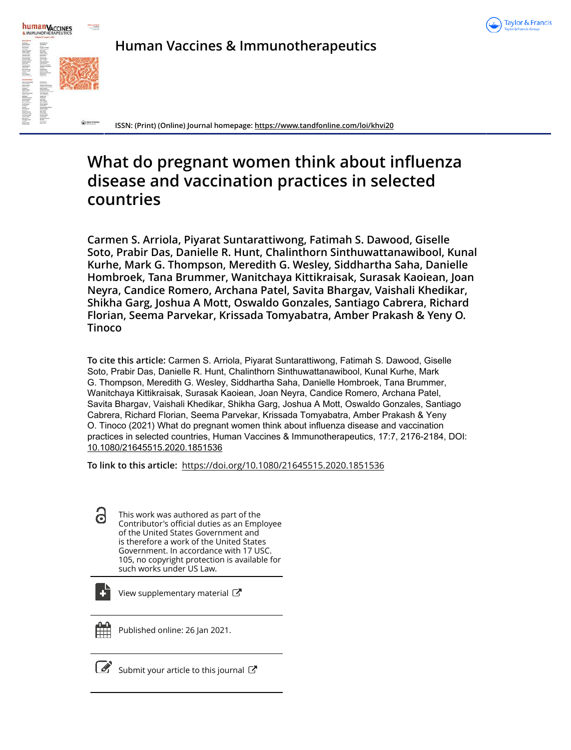



**Human Vaccines & Immunotherapeutics**

**ISSN: (Print) (Online) Journal homepage: https://www.tandfonline.com/loi/khvi20**

# **What do pregnant women think about influenza disease and vaccination practices in selected countries**

**Carmen S. Arriola, Piyarat Suntarattiwong, Fatimah S. Dawood, Giselle Soto, Prabir Das, Danielle R. Hunt, Chalinthorn Sinthuwattanawibool, Kunal Kurhe, Mark G. Thompson, Meredith G. Wesley, Siddhartha Saha, Danielle Hombroek, Tana Brummer, Wanitchaya Kittikraisak, Surasak Kaoiean, Joan Neyra, Candice Romero, Archana Patel, Savita Bhargav, Vaishali Khedikar, Shikha Garg, Joshua A Mott, Oswaldo Gonzales, Santiago Cabrera, Richard Florian, Seema Parvekar, Krissada Tomyabatra, Amber Prakash & Yeny O. Tinoco**

**To cite this article:** Carmen S. Arriola, Piyarat Suntarattiwong, Fatimah S. Dawood, Giselle Soto, Prabir Das, Danielle R. Hunt, Chalinthorn Sinthuwattanawibool, Kunal Kurhe, Mark G. Thompson, Meredith G. Wesley, Siddhartha Saha, Danielle Hombroek, Tana Brummer, Wanitchaya Kittikraisak, Surasak Kaoiean, Joan Neyra, Candice Romero, Archana Patel, Savita Bhargav, Vaishali Khedikar, Shikha Garg, Joshua A Mott, Oswaldo Gonzales, Santiago Cabrera, Richard Florian, Seema Parvekar, Krissada Tomyabatra, Amber Prakash & Yeny O. Tinoco (2021) What do pregnant women think about influenza disease and vaccination practices in selected countries, Human Vaccines & Immunotherapeutics, 17:7, 2176-2184, DOI: 10.1080/21645515.2020.1851536

**To link to this article:** https://doi.org/10.1080/21645515.2020.1851536

d This work was authored as part of the Contributor's official duties as an Employee of the United States Government and is therefore a work of the United States Government. In accordance with 17 USC. 105, no copyright protection is available for such works under US Law.

View supplementary material  $\mathbb{Z}$ 



Published online: 26 Jan 2021.

 $\overline{\mathcal{G}}$  Submit your article to this journal  $\overline{\mathcal{G}}$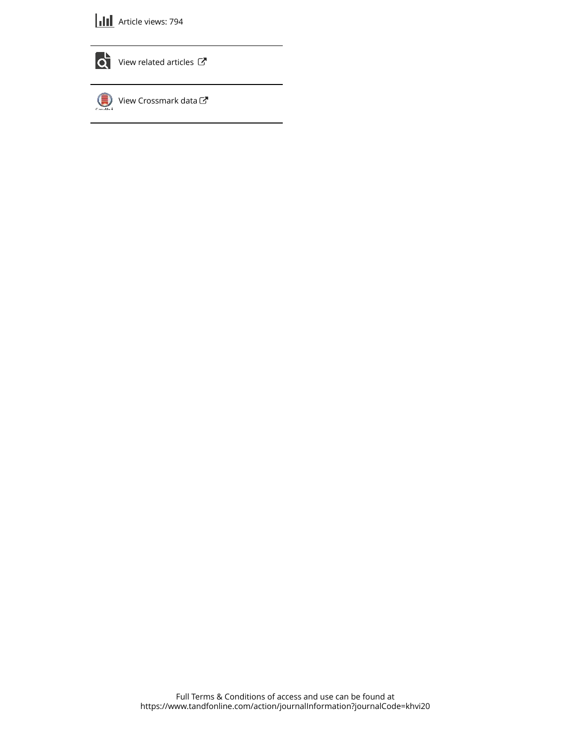



 $\bullet$  View related articles  $\mathbb{Z}$ 

View Crossmark data  $\mathbb{Z}$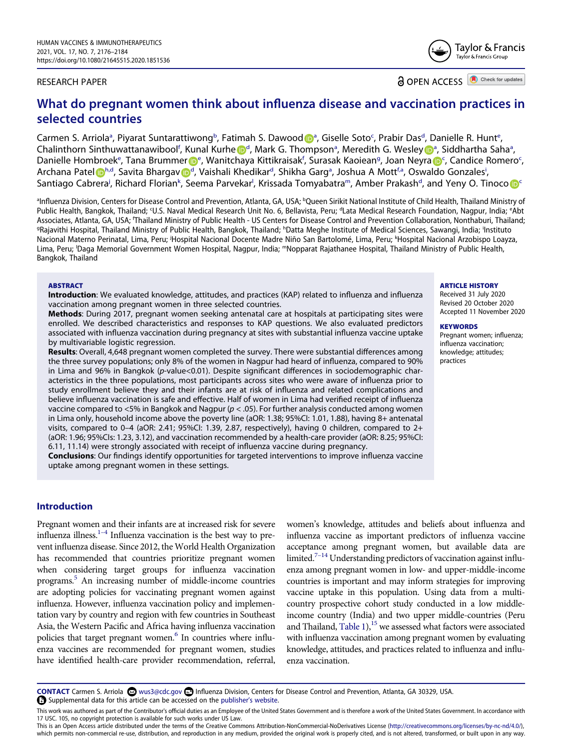#### RESEARCH PAPER

**a** OPEN ACCESS **a** Check for updates

# **What do pregnant women think about influenza disease and vaccination practices in selected countries**

C[a](#page-2-0)rmen S. Arriola<sup>a</sup>, Piyarat Suntarattiwong<sup>[b](#page-2-0)</sup>, Fatimah S. Dawood D<sup>a</sup>, Giselle Soto<sup>[c](#page-2-1)</sup>, Prabir Das<sup>[d](#page-2-1)</sup>, Dani[e](#page-2-1)lle R. Hunt<sup>e</sup>, Chalinthorn Sinthuwattanawibool<sup>[f](#page-2-2)</sup>, Kunal Kurh[e](http://orcid.org/0000-0002-6032-8943) D<sup>[d](#page-2-1)</sup>, M[a](#page-2-0)rk G. Thompson<sup>a</sup>, Meredith G. Wesley D<sup>a</sup>, Siddhartha Saha<sup>a</sup>, Dani[e](#page-2-1)lle Homb[r](http://orcid.org/0000-0003-4135-2259)oek<sup>e</sup>, Tana Brummer D<sup>e</sup>, Wanitchaya Kittikraisak<sup>[f](#page-2-2)</sup>, Surasak Kaoiean<sup>[g](#page-2-3)</sup>, Jo[a](http://orcid.org/0000-0003-3708-9750)n Neyra D<sup>[c](#page-2-1)</sup>, Candice Romero<sup>c</sup>, Archana Pate[l](http://orcid.org/0000-0002-2558-7421) D<sup>[h](#page-2-3)[,d](#page-2-1)</sup>, Sa[v](http://orcid.org/0000-0003-4718-3927)ita Bhargav D<sup>[d](#page-2-1)</sup>, V[a](#page-2-0)ishali Khedikar<sup>d</sup>, Shikha Garg<sup>a</sup>, Joshua A Mott<sup>[f](#page-2-2)[,a](#page-2-0)</sup>, Oswaldo Gonzales<sup>[i](#page-2-3)</sup>, Santiago Cabrera<sup>[j](#page-2-4)</sup>, Richard Florian<sup>[k](#page-2-4)</sup>, See[m](#page-2-5)a Parvekar<sup>i</sup>, Krissa[d](#page-2-1)a Tomyabatra<sup>m</sup>, Amber Prakash<sup>a</sup>, and Yeny O. Tino[c](#page-2-1)o <mark>D</mark>S

<span id="page-2-4"></span><span id="page-2-3"></span><span id="page-2-2"></span><span id="page-2-1"></span><span id="page-2-0"></span>a Influenza Division, Centers for Disease Control and Prevention, Atlanta, GA, USA; <sup>b</sup>Queen Sirikit National Institute of Child Health, Thailand Ministry of Public Health, Bangkok, Thailand; U.S. Naval Medical Research Unit No. 6, Bellavista, Peru; <sup>d</sup>Lata Medical Research Foundation, Nagpur, India; <sup>e</sup>Abt Associates, Atlanta, GA, USA; <sup>e</sup>Thailand Ministry of Public Health - US Centers for Disease Control and Prevention Collaboration, Nonthaburi, Thailand; <sup>g</sup>Rajavithi Hospital, Thailand Ministry of Public Health, Bangkok, Thailand; <sup>h</sup>Datta Meghe Institute of Medical Sciences, Sawangi, India; <sup>i</sup>Instituto Nacional Materno Perinatal, Lima, Peru; <sup>j</sup>Hospital Nacional Docente Madre Niño San Bartolomé, Lima, Peru; <sup>k</sup>Hospital Nacional Arzobispo Loayza, Lima, Peru; <sup>I</sup>Daga Memorial Government Women Hospital, Nagpur, India; mNopparat Rajathanee Hospital, Thailand Ministry of Public Health, Bangkok, Thailand

#### <span id="page-2-5"></span>**ABSTRACT**

**Introduction**: We evaluated knowledge, attitudes, and practices (KAP) related to influenza and influenza vaccination among pregnant women in three selected countries.

**Methods**: During 2017, pregnant women seeking antenatal care at hospitals at participating sites were enrolled. We described characteristics and responses to KAP questions. We also evaluated predictors associated with influenza vaccination during pregnancy at sites with substantial influenza vaccine uptake by multivariable logistic regression.

**Results**: Overall, 4,648 pregnant women completed the survey. There were substantial differences among the three survey populations; only 8% of the women in Nagpur had heard of influenza, compared to 90% in Lima and 96% in Bangkok (p-value<0.01). Despite significant differences in sociodemographic characteristics in the three populations, most participants across sites who were aware of influenza prior to study enrollment believe they and their infants are at risk of influenza and related complications and believe influenza vaccination is safe and effective. Half of women in Lima had verified receipt of influenza vaccine compared to  $<5\%$  in Bangkok and Nagpur ( $p$  < .05). For further analysis conducted among women in Lima only, household income above the poverty line (aOR: 1.38; 95%CI: 1.01, 1.88), having 8+ antenatal visits, compared to 0–4 (aOR: 2.41; 95%CI: 1.39, 2.87, respectively), having 0 children, compared to 2+ (aOR: 1.96; 95%CIs: 1.23, 3.12), and vaccination recommended by a health-care provider (aOR: 8.25; 95%CI: 6.11, 11.14) were strongly associated with receipt of influenza vaccine during pregnancy.

**Conclusions**: Our findings identify opportunities for targeted interventions to improve influenza vaccine uptake among pregnant women in these settings.

# **Introduction**

<span id="page-2-7"></span><span id="page-2-6"></span>Pregnant women and their infants are at increased risk for severe influenza illness. $1-4$  Influenza vaccination is the best way to prevent influenza disease. Since 2012, the World Health Organization has recommended that countries prioritize pregnant women when considering target groups for influenza vaccination programs.[5](#page-9-1) An increasing number of middle-income countries are adopting policies for vaccinating pregnant women against influenza. However, influenza vaccination policy and implementation vary by country and region with few countries in Southeast Asia, the Western Pacific and Africa having influenza vaccination policies that target pregnant women.<sup>6</sup> In countries where influenza vaccines are recommended for pregnant women, studies have identified health-care provider recommendation, referral,

<span id="page-2-10"></span><span id="page-2-9"></span>women's knowledge, attitudes and beliefs about influenza and influenza vaccine as important predictors of influenza vaccine acceptance among pregnant women, but available data are limited.<sup>7-14</sup> Understanding predictors of vaccination against influenza among pregnant women in low- and upper-middle-income countries is important and may inform strategies for improving vaccine uptake in this population. Using data from a multicountry prospective cohort study conducted in a low middleincome country (India) and two upper middle-countries (Peru and Thailand, Table  $1$ <sup>15</sup> we assessed what factors were associated with influenza vaccination among pregnant women by evaluating knowledge, attitudes, and practices related to influenza and influenza vaccination.

<span id="page-2-8"></span>CONTACT Carmen S. Arriola **C** wus3@cdc.gov **Influenza Division, Centers for Disease Control and Prevention, Atlanta, GA 30329, USA.** Supplemental data for this article can be accessed on the [publisher's website](https://doi.org/10.1080/21645515.2020.1851536).

#### This work was authored as part of the Contributor's official duties as an Employee of the United States Government and is therefore a work of the United States Government. In accordance with 17 USC. 105, no copyright protection is available for such works under US Law.

This is an Open Access article distributed under the terms of the Creative Commons Attribution-NonCommercial-NoDerivatives License (http://creativecommons.org/licenses/by-nc-nd/4.0/). which permits non-commercial re-use, distribution, and reproduction in any medium, provided the original work is properly cited, and is not altered, transformed, or built upon in any way.

#### ARTICLE HISTORY

Received 31 July 2020 Revised 20 October 2020 Accepted 11 November 2020

#### **KEYWORDS**

Pregnant women; influenza; influenza vaccination; knowledge; attitudes; practices

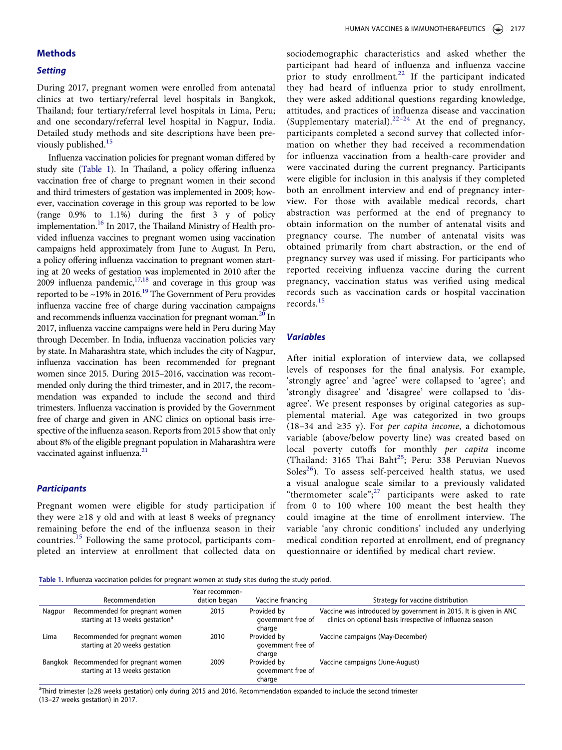#### **Methods**

#### **Setting**

During 2017, pregnant women were enrolled from antenatal clinics at two tertiary/referral level hospitals in Bangkok, Thailand; four tertiary/referral level hospitals in Lima, Peru; and one secondary/referral level hospital in Nagpur, India. Detailed study methods and site descriptions have been pre-viously published.<sup>[15](#page-9-4)</sup>

<span id="page-3-4"></span><span id="page-3-3"></span><span id="page-3-2"></span><span id="page-3-1"></span>Influenza vaccination policies for pregnant woman differed by study site [\(Table 1](#page-3-0)). In Thailand, a policy offering influenza vaccination free of charge to pregnant women in their second and third trimesters of gestation was implemented in 2009; however, vaccination coverage in this group was reported to be low (range 0.9% to 1.1%) during the first 3 y of policy implementation.<sup>16</sup> In 2017, the Thailand Ministry of Health provided influenza vaccines to pregnant women using vaccination campaigns held approximately from June to August. In Peru, a policy offering influenza vaccination to pregnant women starting at 20 weeks of gestation was implemented in 2010 after the  $2009$  influenza pandemic,  $17,18$  $17,18$  and coverage in this group was reported to be  $\sim$ 19% in 2016.<sup>19</sup> The Government of Peru provides influenza vaccine free of charge during vaccination campaigns and recommends influenza vaccination for pregnant woman.<sup>[20](#page-10-2)</sup> In 2017, influenza vaccine campaigns were held in Peru during May through December. In India, influenza vaccination policies vary by state. In Maharashtra state, which includes the city of Nagpur, influenza vaccination has been recommended for pregnant women since 2015. During 2015–2016, vaccination was recommended only during the third trimester, and in 2017, the recommendation was expanded to include the second and third trimesters. Influenza vaccination is provided by the Government free of charge and given in ANC clinics on optional basis irrespective of the influenza season. Reports from 2015 show that only about 8% of the eligible pregnant population in Maharashtra were vaccinated against influenza.<sup>[21](#page-10-3)</sup>

#### <span id="page-3-5"></span>**Participants**

Pregnant women were eligible for study participation if they were ≥18 y old and with at least 8 weeks of pregnancy remaining before the end of the influenza season in their countries.<sup>[15](#page-9-4)</sup> Following the same protocol, participants completed an interview at enrollment that collected data on

<span id="page-3-6"></span>sociodemographic characteristics and asked whether the participant had heard of influenza and influenza vaccine prior to study enrollment.<sup>[22](#page-10-4)</sup> If the participant indicated they had heard of influenza prior to study enrollment, they were asked additional questions regarding knowledge, attitudes, and practices of influenza disease and vaccination (Supplementary material).<sup>[22–24](#page-10-4)</sup> At the end of pregnancy, participants completed a second survey that collected information on whether they had received a recommendation for influenza vaccination from a health-care provider and were vaccinated during the current pregnancy. Participants were eligible for inclusion in this analysis if they completed both an enrollment interview and end of pregnancy interview. For those with available medical records, chart abstraction was performed at the end of pregnancy to obtain information on the number of antenatal visits and pregnancy course. The number of antenatal visits was obtained primarily from chart abstraction, or the end of pregnancy survey was used if missing. For participants who reported receiving influenza vaccine during the current pregnancy, vaccination status was verified using medical records such as vaccination cards or hospital vaccination records.[15](#page-9-4)

#### **Variables**

<span id="page-3-9"></span><span id="page-3-8"></span><span id="page-3-7"></span>After initial exploration of interview data, we collapsed levels of responses for the final analysis. For example, 'strongly agree' and 'agree' were collapsed to 'agree'; and 'strongly disagree' and 'disagree' were collapsed to 'disagree'. We present responses by original categories as supplemental material. Age was categorized in two groups (18–34 and ≥35 y). For *per capita income*, a dichotomous variable (above/below poverty line) was created based on local poverty cutoffs for monthly per capita income (Thailand: 3165 Thai Baht<sup>[25](#page-10-5)</sup>; Peru: 338 Peruvian Nuevos Soles<sup>[26](#page-10-6)</sup>). To assess self-perceived health status, we used a visual analogue scale similar to a previously validated "thermometer scale";<sup>[27](#page-10-7)</sup> participants were asked to rate from 0 to 100 where 100 meant the best health they could imagine at the time of enrollment interview. The variable 'any chronic conditions' included any underlying medical condition reported at enrollment, end of pregnancy questionnaire or identified by medical chart review.

<span id="page-3-0"></span>**Table 1.** Influenza vaccination policies for pregnant women at study sites during the study period.

|         | Recommendation                                                                | Year recommen-<br>dation began | Vaccine financing                           | Strategy for vaccine distribution                                                                                              |
|---------|-------------------------------------------------------------------------------|--------------------------------|---------------------------------------------|--------------------------------------------------------------------------------------------------------------------------------|
| Nagpur  | Recommended for pregnant women<br>starting at 13 weeks gestation <sup>a</sup> | 2015                           | Provided by<br>government free of<br>charge | Vaccine was introduced by government in 2015. It is given in ANC<br>clinics on optional basis irrespective of Influenza season |
| Lima    | Recommended for pregnant women<br>starting at 20 weeks gestation              | 2010                           | Provided by<br>government free of<br>charge | Vaccine campaigns (May-December)                                                                                               |
| Bangkok | Recommended for pregnant women<br>starting at 13 weeks gestation              | 2009                           | Provided by<br>government free of<br>charge | Vaccine campaigns (June-August)                                                                                                |

a Third trimester (≥28 weeks gestation) only during 2015 and 2016. Recommendation expanded to include the second trimester (13–27 weeks gestation) in 2017.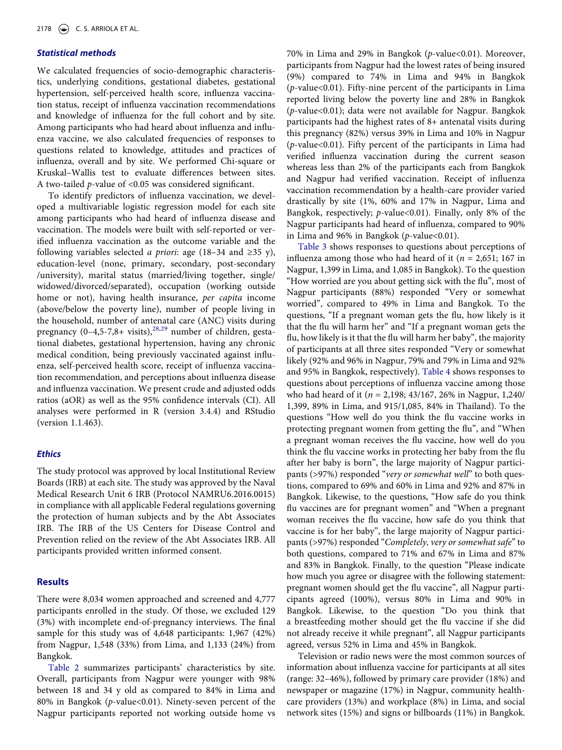# **Statistical methods**

We calculated frequencies of socio-demographic characteristics, underlying conditions, gestational diabetes, gestational hypertension, self-perceived health score, influenza vaccination status, receipt of influenza vaccination recommendations and knowledge of influenza for the full cohort and by site. Among participants who had heard about influenza and influenza vaccine, we also calculated frequencies of responses to questions related to knowledge, attitudes and practices of influenza, overall and by site. We performed Chi-square or Kruskal–Wallis test to evaluate differences between sites. A two-tailed p-value of <0.05 was considered significant.

To identify predictors of influenza vaccination, we developed a multivariable logistic regression model for each site among participants who had heard of influenza disease and vaccination. The models were built with self-reported or verified influenza vaccination as the outcome variable and the following variables selected *a priori*: age (18–34 and ≥35 y), education-level (none, primary, secondary, post-secondary /university), marital status (married/living together, single/ widowed/divorced/separated), occupation (working outside home or not), having health insurance, per capita income (above/below the poverty line), number of people living in the household, number of antenatal care (ANC) visits during pregnancy  $(0-4,5-7,8+$  visits),<sup>[28](#page-10-8),[29](#page-10-9)</sup> number of children, gestational diabetes, gestational hypertension, having any chronic medical condition, being previously vaccinated against influenza, self-perceived health score, receipt of influenza vaccination recommendation, and perceptions about influenza disease and influenza vaccination. We present crude and adjusted odds ratios (aOR) as well as the 95% confidence intervals (CI). All analyses were performed in R (version 3.4.4) and RStudio (version 1.1.463).

#### <span id="page-4-0"></span>**Ethics**

The study protocol was approved by local Institutional Review Boards (IRB) at each site. The study was approved by the Naval Medical Research Unit 6 IRB (Protocol NAMRU6.2016.0015) in compliance with all applicable Federal regulations governing the protection of human subjects and by the Abt Associates IRB. The IRB of the US Centers for Disease Control and Prevention relied on the review of the Abt Associates IRB. All participants provided written informed consent.

#### **Results**

There were 8,034 women approached and screened and 4,777 participants enrolled in the study. Of those, we excluded 129 (3%) with incomplete end-of-pregnancy interviews. The final sample for this study was of 4,648 participants: 1,967 (42%) from Nagpur, 1,548 (33%) from Lima, and 1,133 (24%) from Bangkok.

[Table 2](#page-5-0) summarizes participants' characteristics by site. Overall, participants from Nagpur were younger with 98% between 18 and 34 y old as compared to 84% in Lima and 80% in Bangkok (p-value<0.01). Ninety-seven percent of the Nagpur participants reported not working outside home vs

70% in Lima and 29% in Bangkok (p-value<0.01). Moreover, participants from Nagpur had the lowest rates of being insured (9%) compared to 74% in Lima and 94% in Bangkok (p-value<0.01). Fifty-nine percent of the participants in Lima reported living below the poverty line and 28% in Bangkok (p-value<0.01); data were not available for Nagpur. Bangkok participants had the highest rates of 8+ antenatal visits during this pregnancy (82%) versus 39% in Lima and 10% in Nagpur (p-value<0.01). Fifty percent of the participants in Lima had verified influenza vaccination during the current season whereas less than 2% of the participants each from Bangkok and Nagpur had verified vaccination. Receipt of influenza vaccination recommendation by a health-care provider varied drastically by site (1%, 60% and 17% in Nagpur, Lima and Bangkok, respectively; p-value<0.01). Finally, only 8% of the Nagpur participants had heard of influenza, compared to 90% in Lima and 96% in Bangkok ( $p$ -value<0.01).

[Table 3](#page-6-0) shows responses to questions about perceptions of influenza among those who had heard of it ( $n = 2,651$ ; 167 in Nagpur, 1,399 in Lima, and 1,085 in Bangkok). To the question "How worried are you about getting sick with the flu", most of Nagpur participants (88%) responded "Very or somewhat worried", compared to 49% in Lima and Bangkok. To the questions, "If a pregnant woman gets the flu, how likely is it that the flu will harm her" and "If a pregnant woman gets the flu, how likely is it that the flu will harm her baby", the majority of participants at all three sites responded "Very or somewhat likely (92% and 96% in Nagpur, 79% and 79% in Lima and 92% and 95% in Bangkok, respectively). [Table 4](#page-6-1) shows responses to questions about perceptions of influenza vaccine among those who had heard of it ( $n = 2,198; 43/167, 26%$  in Nagpur, 1,240/ 1,399, 89% in Lima, and 915/1,085, 84% in Thailand). To the questions "How well do you think the flu vaccine works in protecting pregnant women from getting the flu", and "When a pregnant woman receives the flu vaccine, how well do you think the flu vaccine works in protecting her baby from the flu after her baby is born", the large majority of Nagpur participants (>97%) responded "very or somewhat well" to both questions, compared to 69% and 60% in Lima and 92% and 87% in Bangkok. Likewise, to the questions, "How safe do you think flu vaccines are for pregnant women" and "When a pregnant woman receives the flu vaccine, how safe do you think that vaccine is for her baby", the large majority of Nagpur participants (>97%) responded "Completely, very or somewhat safe" to both questions, compared to 71% and 67% in Lima and 87% and 83% in Bangkok. Finally, to the question "Please indicate how much you agree or disagree with the following statement: pregnant women should get the flu vaccine", all Nagpur participants agreed (100%), versus 80% in Lima and 90% in Bangkok. Likewise, to the question "Do you think that a breastfeeding mother should get the flu vaccine if she did not already receive it while pregnant", all Nagpur participants agreed, versus 52% in Lima and 45% in Bangkok.

Television or radio news were the most common sources of information about influenza vaccine for participants at all sites (range: 32–46%), followed by primary care provider (18%) and newspaper or magazine (17%) in Nagpur, community healthcare providers (13%) and workplace (8%) in Lima, and social network sites (15%) and signs or billboards (11%) in Bangkok.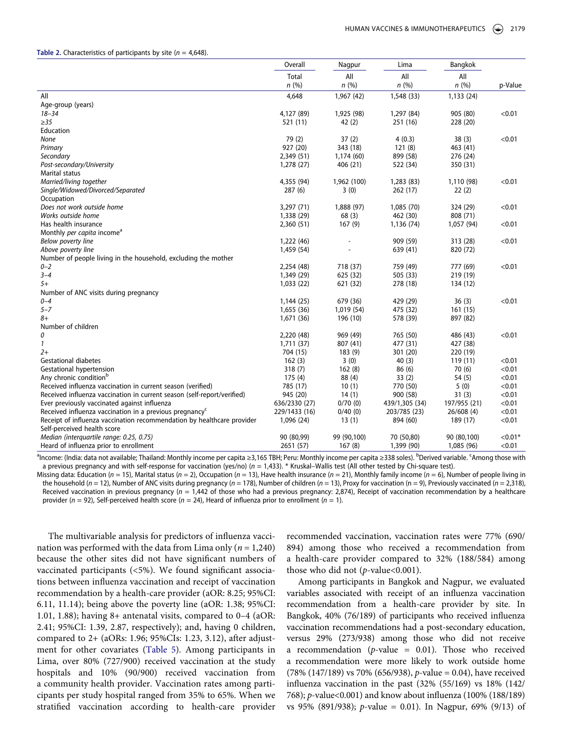#### <span id="page-5-0"></span>**Table 2.** Characteristics of participants by site  $(n = 4.648)$ .

|                                                                         | Overall       | Nagpur      | Lima           | Bangkok      |           |
|-------------------------------------------------------------------------|---------------|-------------|----------------|--------------|-----------|
|                                                                         | Total         | All         | All            | All          |           |
|                                                                         | n(%)          | n(%)        | n(%)           | n(%)         | p-Value   |
| All                                                                     | 4,648         | 1,967(42)   | 1,548 (33)     | 1,133 (24)   |           |
| Age-group (years)                                                       |               |             |                |              |           |
| $18 - 34$                                                               | 4,127 (89)    | 1,925 (98)  | 1,297 (84)     | 905 (80)     | < 0.01    |
| $\geq$ 35                                                               | 521 (11)      | 42(2)       | 251 (16)       | 228 (20)     |           |
| Education                                                               |               |             |                |              |           |
| None                                                                    | 79 (2)        | 37(2)       | 4(0.3)         | 38(3)        | < 0.01    |
| Primary                                                                 | 927 (20)      | 343 (18)    | 121(8)         | 463 (41)     |           |
| Secondary                                                               | 2,349 (51)    | 1,174 (60)  | 899 (58)       | 276 (24)     |           |
| Post-secondary/University                                               | 1,278 (27)    | 406 (21)    | 522 (34)       | 350 (31)     |           |
| Marital status                                                          |               |             |                |              |           |
| Married/living together                                                 | 4,355 (94)    | 1,962 (100) | 1,283 (83)     | 1,110 (98)   | < 0.01    |
| Single/Widowed/Divorced/Separated                                       | 287(6)        | 3(0)        | 262 (17)       | 22(2)        |           |
| Occupation                                                              |               |             |                |              |           |
| Does not work outside home                                              | 3,297 (71)    | 1,888 (97)  | 1,085 (70)     | 324 (29)     | < 0.01    |
| Works outside home                                                      | 1,338 (29)    | 68(3)       | 462 (30)       | 808 (71)     |           |
| Has health insurance                                                    | 2,360 (51)    | 167(9)      | 1,136 (74)     | 1,057 (94)   | < 0.01    |
| Monthly per capita income <sup>a</sup>                                  |               |             |                |              |           |
| Below poverty line                                                      | 1,222 (46)    |             | 909 (59)       | 313 (28)     | < 0.01    |
| Above poverty line                                                      | 1,459 (54)    |             | 639 (41)       | 820 (72)     |           |
| Number of people living in the household, excluding the mother          |               |             |                |              |           |
| $0 - 2$                                                                 | 2,254 (48)    | 718 (37)    | 759 (49)       | 777 (69)     | < 0.01    |
| $3 - 4$                                                                 | 1,349 (29)    | 625 (32)    | 505 (33)       | 219 (19)     |           |
| $5+$                                                                    | 1,033 (22)    | 621 (32)    | 278 (18)       | 134 (12)     |           |
| Number of ANC visits during pregnancy                                   |               |             |                |              |           |
| $0 - 4$                                                                 | 1,144(25)     | 679 (36)    | 429 (29)       | 36(3)        | < 0.01    |
| $5 - 7$                                                                 | 1,655 (36)    | 1,019 (54)  | 475 (32)       | 161(15)      |           |
| $8+$                                                                    | 1,671 (36)    | 196 (10)    | 578 (39)       | 897 (82)     |           |
| Number of children                                                      |               |             |                |              |           |
| 0                                                                       | 2,220 (48)    | 969 (49)    | 765 (50)       | 486 (43)     | < 0.01    |
| $\mathbf{1}$                                                            | 1,711 (37)    | 807 (41)    | 477 (31)       | 427 (38)     |           |
| $2+$                                                                    | 704 (15)      | 183(9)      | 301 (20)       | 220 (19)     |           |
| <b>Gestational diabetes</b>                                             | 162(3)        | 3(0)        | 40(3)          | 119 (11)     | < 0.01    |
| Gestational hypertension                                                | 318(7)        | 162(8)      | 86 (6)         | 70(6)        | < 0.01    |
| Any chronic condition <sup>b</sup>                                      | 175(4)        | 88 (4)      | 33(2)          | 54(5)        | < 0.01    |
| Received influenza vaccination in current season (verified)             | 785 (17)      | 10(1)       | 770 (50)       | 5(0)         | < 0.01    |
| Received influenza vaccination in current season (self-report/verified) | 945 (20)      | 14(1)       | 900 (58)       | 31(3)        | < 0.01    |
| Ever previously vaccinated against influenza                            | 636/2330 (27) | 0/70(0)     | 439/1,305 (34) | 197/955 (21) | < 0.01    |
| Received influenza vaccination in a previous pregnancy <sup>c</sup>     | 229/1433 (16) | 0/40(0)     | 203/785 (23)   | 26/608(4)    | < 0.01    |
| Receipt of influenza vaccination recommendation by healthcare provider  | 1,096 (24)    | 13(1)       | 894 (60)       | 189 (17)     | < 0.01    |
| Self-perceived health score                                             |               |             |                |              |           |
| Median (interguartile range: 0.25, 0.75)                                | 90 (80,99)    | 99 (90,100) | 70 (50,80)     | 90 (80,100)  | $< 0.01*$ |
| Heard of influenza prior to enrollment                                  | 2651 (57)     | 167(8)      | 1,399 (90)     | 1,085 (96)   | < 0.01    |
|                                                                         |               |             |                |              |           |

<sup>a</sup>lncome: (India: data not available; Thailand: Monthly income per capita ≥3,165 TBH; Peru: Monthly income per capita ≥338 soles). <sup>b</sup>Derived variable. <sup>c</sup>Among those with a previous pregnancy and with self-response for vaccination (yes/no) ( $n = 1,433$ ). \* Kruskal–Wallis test (All other tested by Chi-square test).

Missing data: Education (n = 15), Marital status (n = 2), Occupation (n = 13), Have health insurance (n = 21), Monthly family income (n = 6), Number of people living in the household (n = 12), Number of ANC visits during pregnancy (n = 178), Number of children (n = 13), Proxy for vaccination (n = 9), Previously vaccinated (n = 2,318), Received vaccination in previous pregnancy ( $n = 1,442$  of those who had a previous pregnancy: 2,874), Receipt of vaccination recommendation by a healthcare provider ( $n = 92$ ), Self-perceived health score ( $n = 24$ ), Heard of influenza prior to enrollment ( $n = 1$ ).

The multivariable analysis for predictors of influenza vaccination was performed with the data from Lima only ( $n = 1,240$ ) because the other sites did not have significant numbers of vaccinated participants (<5%). We found significant associations between influenza vaccination and receipt of vaccination recommendation by a health-care provider (aOR: 8.25; 95%CI: 6.11, 11.14); being above the poverty line (aOR: 1.38; 95%CI: 1.01, 1.88); having 8+ antenatal visits, compared to 0–4 (aOR: 2.41; 95%CI: 1.39, 2.87, respectively); and, having 0 children, compared to 2+ (aORs: 1.96; 95%CIs: 1.23, 3.12), after adjustment for other covariates [\(Table 5\)](#page-7-0). Among participants in Lima, over 80% (727/900) received vaccination at the study hospitals and 10% (90/900) received vaccination from a community health provider. Vaccination rates among participants per study hospital ranged from 35% to 65%. When we stratified vaccination according to health-care provider

recommended vaccination, vaccination rates were 77% (690/ 894) among those who received a recommendation from a health-care provider compared to 32% (188/584) among those who did not  $(p$ -value< $0.001$ ).

Among participants in Bangkok and Nagpur, we evaluated variables associated with receipt of an influenza vaccination recommendation from a health-care provider by site. In Bangkok, 40% (76/189) of participants who received influenza vaccination recommendations had a post-secondary education, versus 29% (273/938) among those who did not receive a recommendation ( $p$ -value = 0.01). Those who received a recommendation were more likely to work outside home (78% (147/189) vs 70% (656/938), p-value = 0.04), have received influenza vaccination in the past (32% (55/169) vs 18% (142/ 768); p-value<0.001) and know about influenza (100% (188/189) vs 95% (891/938); p-value = 0.01). In Nagpur, 69% (9/13) of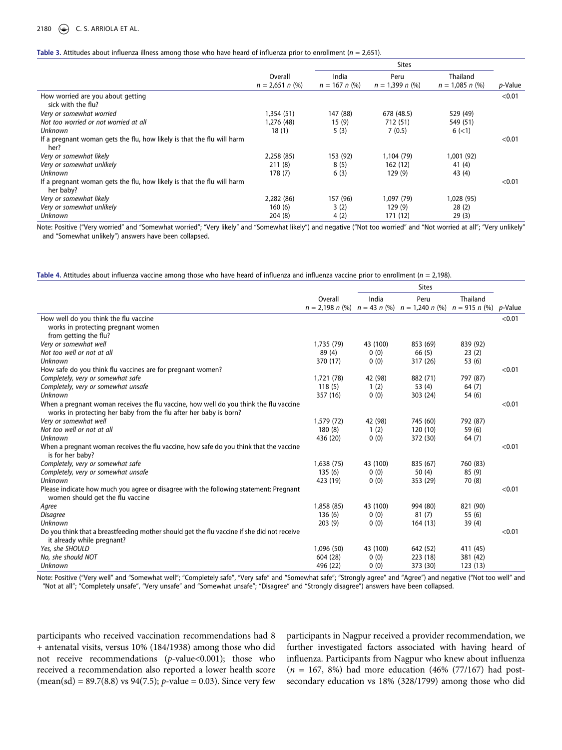#### 2180  $\left(\bigcirc\right)$  C. S. ARRIOLA ET AL.

#### <span id="page-6-0"></span>Table 3. Attitudes about influenza illness among those who have heard of influenza prior to enrollment (n = 2,651).

|                                                                                     |                   | <b>Sites</b>    |                   |                   |                 |
|-------------------------------------------------------------------------------------|-------------------|-----------------|-------------------|-------------------|-----------------|
|                                                                                     | Overall           | India           | Peru              | Thailand          |                 |
|                                                                                     | $n = 2,651 n$ (%) | $n = 167 n$ (%) | $n = 1.399 n$ (%) | $n = 1.085 n$ (%) | <i>p</i> -Value |
| How worried are you about getting                                                   |                   |                 |                   |                   | < 0.01          |
| sick with the flu?                                                                  |                   |                 |                   |                   |                 |
| Very or somewhat worried                                                            | 1.354(51)         | 147 (88)        | 678 (48.5)        | 529 (49)          |                 |
| Not too worried or not worried at all                                               | 1,276 (48)        | 15(9)           | 712 (51)          | 549 (51)          |                 |
| Unknown                                                                             | 18(1)             | 5(3)            | 7(0.5)            | 6(<1)             |                 |
| If a pregnant woman gets the flu, how likely is that the flu will harm<br>her?      |                   |                 |                   |                   | < 0.01          |
| Very or somewhat likely                                                             | 2.258(85)         | 153 (92)        | 1,104 (79)        | 1,001 (92)        |                 |
| Very or somewhat unlikely                                                           | 211(8)            | 8(5)            | 162(12)           | 41 $(4)$          |                 |
| Unknown                                                                             | 178(7)            | 6(3)            | 129(9)            | 43 (4)            |                 |
| If a pregnant woman gets the flu, how likely is that the flu will harm<br>her baby? |                   |                 |                   |                   | < 0.01          |
| Very or somewhat likely                                                             | 2.282(86)         | 157 (96)        | 1,097 (79)        | 1,028 (95)        |                 |
| Very or somewhat unlikely                                                           | 160(6)            | 3(2)            | 129(9)            | 28(2)             |                 |
| <b>Unknown</b>                                                                      | 204(8)            | 4(2)            | 171 (12)          | 29(3)             |                 |

Note: Positive ("Very worried" and "Somewhat worried"; "Very likely" and "Somewhat likely") and negative ("Not too worried" and "Not worried at all"; "Very unlikely" and "Somewhat unlikely") answers have been collapsed.

<span id="page-6-1"></span>Table 4. Attitudes about influenza vaccine among those who have heard of influenza and influenza vaccine prior to enrollment (n = 2,198).

|                                                                                                                                                            |            |          | <b>Sites</b>                                                       |          |                 |
|------------------------------------------------------------------------------------------------------------------------------------------------------------|------------|----------|--------------------------------------------------------------------|----------|-----------------|
|                                                                                                                                                            | Overall    | India    | Peru                                                               | Thailand |                 |
|                                                                                                                                                            |            |          | $n = 2,198$ n (%) $n = 43$ n (%) $n = 1,240$ n (%) $n = 915$ n (%) |          | <i>p</i> -Value |
| How well do you think the flu vaccine                                                                                                                      |            |          |                                                                    |          | < 0.01          |
| works in protecting pregnant women                                                                                                                         |            |          |                                                                    |          |                 |
| from getting the flu?                                                                                                                                      |            |          |                                                                    |          |                 |
| Very or somewhat well                                                                                                                                      | 1,735 (79) | 43 (100) | 853 (69)                                                           | 839 (92) |                 |
| Not too well or not at all                                                                                                                                 | 89(4)      | 0(0)     | 66(5)                                                              | 23(2)    |                 |
| Unknown                                                                                                                                                    | 370 (17)   | 0(0)     | 317 (26)                                                           | 53 (6)   |                 |
| How safe do you think flu vaccines are for pregnant women?                                                                                                 |            |          |                                                                    |          | < 0.01          |
| Completely, very or somewhat safe                                                                                                                          | 1,721 (78) | 42 (98)  | 882 (71)                                                           | 797 (87) |                 |
| Completely, very or somewhat unsafe                                                                                                                        | 118(5)     | 1(2)     | 53 $(4)$                                                           | 64(7)    |                 |
| Unknown                                                                                                                                                    | 357 (16)   | 0(0)     | 303 (24)                                                           | 54 (6)   |                 |
| When a pregnant woman receives the flu vaccine, how well do you think the flu vaccine<br>works in protecting her baby from the flu after her baby is born? |            |          |                                                                    |          | < 0.01          |
| Very or somewhat well                                                                                                                                      | 1,579 (72) | 42 (98)  | 745 (60)                                                           | 792 (87) |                 |
| Not too well or not at all                                                                                                                                 | 180(8)     | 1(2)     | 120 (10)                                                           | 59 (6)   |                 |
| Unknown                                                                                                                                                    | 436 (20)   | 0(0)     | 372 (30)                                                           | 64(7)    |                 |
| When a pregnant woman receives the flu vaccine, how safe do you think that the vaccine<br>is for her baby?                                                 |            |          |                                                                    |          | < 0.01          |
| Completely, very or somewhat safe                                                                                                                          | 1,638(75)  | 43 (100) | 835 (67)                                                           | 760 (83) |                 |
| Completely, very or somewhat unsafe                                                                                                                        | 135(6)     | 0(0)     | 50 $(4)$                                                           | 85(9)    |                 |
| Unknown                                                                                                                                                    | 423 (19)   | 0(0)     | 353 (29)                                                           | 70 (8)   |                 |
| Please indicate how much you agree or disagree with the following statement: Pregnant<br>women should get the flu vaccine                                  |            |          |                                                                    |          | < 0.01          |
| Agree                                                                                                                                                      | 1,858 (85) | 43 (100) | 994 (80)                                                           | 821 (90) |                 |
| <b>Disagree</b>                                                                                                                                            | 136(6)     | 0(0)     | 81(7)                                                              | 55 (6)   |                 |
| Unknown                                                                                                                                                    | 203(9)     | 0(0)     | 164(13)                                                            | 39(4)    |                 |
| Do you think that a breastfeeding mother should get the flu vaccine if she did not receive<br>it already while pregnant?                                   |            |          |                                                                    |          | < 0.01          |
| Yes, she SHOULD                                                                                                                                            | 1,096 (50) | 43 (100) | 642 (52)                                                           | 411 (45) |                 |
| No, she should NOT                                                                                                                                         | 604 (28)   | 0(0)     | 223 (18)                                                           | 381 (42) |                 |
| Unknown                                                                                                                                                    | 496 (22)   | 0(0)     | 373 (30)                                                           | 123(13)  |                 |
|                                                                                                                                                            |            |          |                                                                    |          |                 |

Note: Positive ("Very well" and "Somewhat well"; "Completely safe", "Very safe" and "Somewhat safe"; "Strongly agree" and "Agree") and negative ("Not too well" and "Not at all"; "Completely unsafe", "Very unsafe" and "Somewhat unsafe"; "Disagree" and "Strongly disagree") answers have been collapsed.

participants who received vaccination recommendations had 8 + antenatal visits, versus 10% (184/1938) among those who did not receive recommendations (p-value<0.001); those who received a recommendation also reported a lower health score  $(\text{mean}(sd) = 89.7(8.8) \text{ vs } 94(7.5); p-value = 0.03)$ . Since very few

participants in Nagpur received a provider recommendation, we further investigated factors associated with having heard of influenza. Participants from Nagpur who knew about influenza  $(n = 167, 8%)$  had more education (46% (77/167) had postsecondary education vs 18% (328/1799) among those who did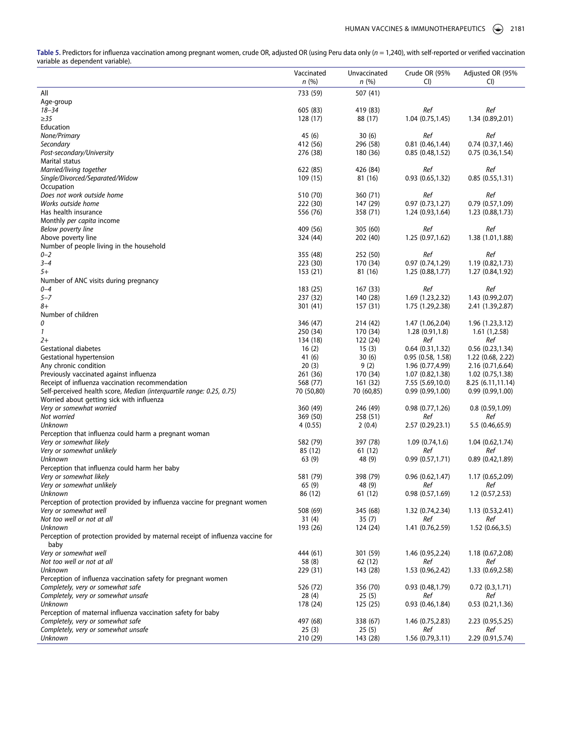<span id="page-7-0"></span>Table 5. Predictors for influenza vaccination among pregnant women, crude OR, adjusted OR (using Peru data only (n = 1,240), with self-reported or verified vaccination variable as dependent variable).

|                                                                                        | Vaccinated<br>n(%)  | Unvaccinated<br>n(%) | Crude OR (95%<br>CI)    | Adjusted OR (95%<br>CI |
|----------------------------------------------------------------------------------------|---------------------|----------------------|-------------------------|------------------------|
| All                                                                                    | 733 (59)            | 507 (41)             |                         |                        |
| Age-group                                                                              |                     |                      |                         |                        |
| $18 - 34$                                                                              | 605 (83)            | 419 (83)             | Ref                     | Ref                    |
| $\geq$ 35                                                                              | 128 (17)            | 88 (17)              | 1.04(0.75, 1.45)        | 1.34 (0.89,2.01)       |
| Education                                                                              |                     |                      |                         |                        |
| None/Primary                                                                           | 45 (6)              | 30(6)                | Ref                     | Ref                    |
| Secondary                                                                              | 412 (56)            | 296 (58)             | 0.81(0.46, 1.44)        | 0.74(0.37, 1.46)       |
| Post-secondary/University<br>Marital status                                            | 276 (38)            | 180 (36)             | 0.85(0.48, 1.52)        | 0.75(0.36, 1.54)       |
| Married/living together                                                                | 622 (85)            | 426 (84)             | Ref                     | Ref                    |
| Single/Divorced/Separated/Widow                                                        | 109 (15)            | 81 (16)              | 0.93(0.65, 1.32)        | 0.85(0.55, 1.31)       |
| Occupation                                                                             |                     |                      |                         |                        |
| Does not work outside home                                                             | 510 (70)            | 360 (71)             | Ref                     | Ref                    |
| Works outside home                                                                     | 222 (30)            | 147 (29)             | 0.97(0.73, 1.27)        | 0.79(0.57,1.09)        |
| Has health insurance                                                                   | 556 (76)            | 358 (71)             | 1.24(0.93, 1.64)        | 1.23(0.88, 1.73)       |
| Monthly per capita income                                                              |                     |                      |                         |                        |
| Below poverty line                                                                     | 409 (56)            | 305 (60)             | Ref                     | Ref                    |
| Above poverty line                                                                     | 324 (44)            | 202 (40)             | 1.25 (0.97,1.62)        | 1.38 (1.01,1.88)       |
| Number of people living in the household                                               |                     |                      |                         |                        |
| $0 - 2$                                                                                | 355 (48)            | 252 (50)             | Ref                     | Ref                    |
| $3 - 4$                                                                                | 223 (30)            | 170 (34)             | 0.97(0.74, 1.29)        | 1.19(0.82, 1.73)       |
| $5+$                                                                                   | 153 (21)            | 81 (16)              | 1.25(0.88, 1.77)        | 1.27 (0.84,1.92)       |
| Number of ANC visits during pregnancy<br>$0 - 4$                                       | 183 (25)            | 167 (33)             | Ref                     | Ref                    |
| $5 - 7$                                                                                | 237 (32)            | 140 (28)             | 1.69 (1.23,2.32)        | 1.43 (0.99,2.07)       |
| 8+                                                                                     | 301 (41)            | 157 (31)             | 1.75 (1.29,2.38)        | 2.41 (1.39, 2.87)      |
| Number of children                                                                     |                     |                      |                         |                        |
| 0                                                                                      | 346 (47)            | 214 (42)             | 1.47 (1.06,2.04)        | 1.96(1.23,3.12)        |
| 1                                                                                      | 250 (34)            | 170 (34)             | 1.28(0.91, 1.8)         | 1.61(1,2.58)           |
| $2+$                                                                                   | 134 (18)            | 122 (24)             | Ref                     | Ref                    |
| <b>Gestational diabetes</b>                                                            | 16(2)               | 15(3)                | 0.64(0.31, 1.32)        | 0.56(0.23, 1.34)       |
| Gestational hypertension                                                               | 41 (6)              | 30(6)                | 0.95(0.58, 1.58)        | 1.22(0.68, 2.22)       |
| Any chronic condition                                                                  | 20(3)               | 9(2)                 | 1.96 (0.77,4.99)        | 2.16 (0.71,6.64)       |
| Previously vaccinated against influenza                                                | 261 (36)            | 170 (34)             | 1.07(0.82, 1.38)        | 1.02(0.75, 1.38)       |
| Receipt of influenza vaccination recommendation                                        | 568 (77)            | 161 (32)             | 7.55 (5.69,10.0)        | 8.25 (6.11,11.14)      |
| Self-perceived health score, Median (interquartile range: 0.25, 0.75)                  | 70 (50,80)          | 70 (60,85)           | 0.99(0.99,1.00)         | 0.99(0.99,1.00)        |
| Worried about getting sick with influenza                                              |                     |                      |                         |                        |
| Very or somewhat worried                                                               | 360 (49)            | 246 (49)             | 0.98(0.77, 1.26)        | 0.8(0.59,1.09)         |
| Not worried<br>Unknown                                                                 | 369 (50)<br>4(0.55) | 258 (51)<br>2(0.4)   | Ref<br>2.57 (0.29,23.1) | Ref<br>5.5 (0.46,65.9) |
| Perception that influenza could harm a pregnant woman                                  |                     |                      |                         |                        |
| Very or somewhat likely                                                                | 582 (79)            | 397 (78)             | 1.09(0.74, 1.6)         | 1.04 (0.62,1.74)       |
| Very or somewhat unlikely                                                              | 85 (12)             | 61 (12)              | Ref                     | Ref                    |
| Unknown                                                                                | 63(9)               | 48 (9)               | 0.99(0.57,1.71)         | 0.89(0.42, 1.89)       |
| Perception that influenza could harm her baby                                          |                     |                      |                         |                        |
| Very or somewhat likely                                                                | 581 (79)            | 398 (79)             | 0.96(0.62, 1.47)        | 1.17 (0.65,2.09)       |
| Very or somewhat unlikely                                                              | 65 (9)              | 48 (9)               | Ref                     | Ref                    |
| Unknown                                                                                | 86 (12)             | 61 (12)              | 0.98(0.57,1.69)         | 1.2 (0.57,2.53)        |
| Perception of protection provided by influenza vaccine for pregnant women              |                     |                      |                         |                        |
| Very or somewhat well                                                                  | 508 (69)            | 345 (68)             | 1.32 (0.74,2.34)        | 1.13(0.53, 2.41)       |
| Not too well or not at all                                                             | 31(4)               | 35(7)                | Ref                     | Ref                    |
| Unknown                                                                                | 193 (26)            | 124 (24)             | 1.41 (0.76,2.59)        | 1.52(0.66, 3.5)        |
| Perception of protection provided by maternal receipt of influenza vaccine for<br>baby |                     |                      |                         |                        |
| Very or somewhat well                                                                  | 444 (61)            | 301 (59)             | 1.46 (0.95,2.24)        | 1.18 (0.67,2.08)       |
| Not too well or not at all                                                             | 58 (8)              | 62 (12)              | Ref                     | Ref                    |
| Unknown                                                                                | 229 (31)            | 143 (28)             | 1.53 (0.96,2.42)        | 1.33 (0.69,2.58)       |
| Perception of influenza vaccination safety for pregnant women                          |                     |                      |                         |                        |
| Completely, very or somewhat safe                                                      | 526 (72)            | 356 (70)             | 0.93(0.48, 1.79)<br>Ref | 0.72(0.3, 1.71)<br>Ref |
| Completely, very or somewhat unsafe<br>Unknown                                         | 28(4)<br>178 (24)   | 25(5)<br>125 (25)    | 0.93(0.46, 1.84)        | 0.53(0.21, 1.36)       |
| Perception of maternal influenza vaccination safety for baby                           |                     |                      |                         |                        |
| Completely, very or somewhat safe                                                      | 497 (68)            | 338 (67)             | 1.46 (0.75,2.83)        | 2.23(0.95,5.25)        |
| Completely, very or somewhat unsafe                                                    | 25(3)               | 25(5)                | Ref                     | Ref                    |
| Unknown                                                                                | 210 (29)            | 143 (28)             | 1.56 (0.79,3.11)        | 2.29 (0.91,5.74)       |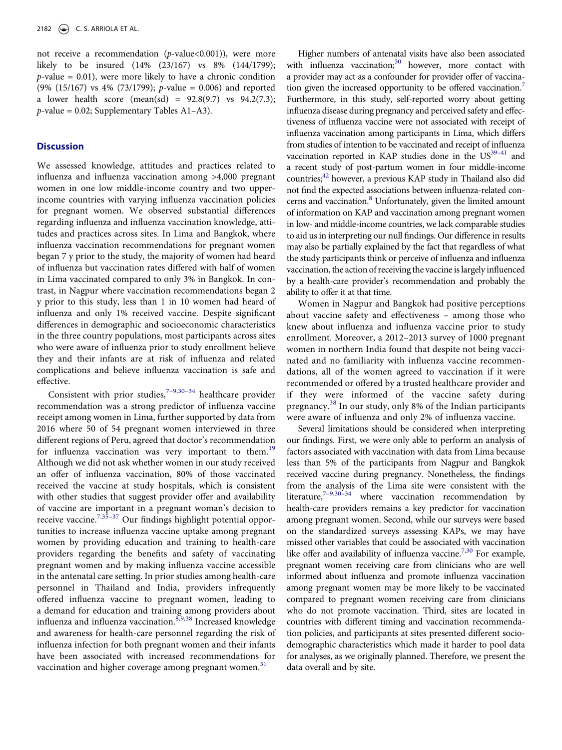not receive a recommendation ( $p$ -value<0.001)), were more likely to be insured (14% (23/167) vs 8% (144/1799);  $p$ -value = 0.01), were more likely to have a chronic condition (9% (15/167) vs 4% (73/1799); p-value = 0.006) and reported a lower health score (mean(sd) =  $92.8(9.7)$  vs  $94.2(7.3)$ ;  $p$ -value = 0.02; Supplementary Tables A1-A3).

#### **Discussion**

We assessed knowledge, attitudes and practices related to influenza and influenza vaccination among >4,000 pregnant women in one low middle-income country and two upperincome countries with varying influenza vaccination policies for pregnant women. We observed substantial differences regarding influenza and influenza vaccination knowledge, attitudes and practices across sites. In Lima and Bangkok, where influenza vaccination recommendations for pregnant women began 7 y prior to the study, the majority of women had heard of influenza but vaccination rates differed with half of women in Lima vaccinated compared to only 3% in Bangkok. In contrast, in Nagpur where vaccination recommendations began 2 y prior to this study, less than 1 in 10 women had heard of influenza and only 1% received vaccine. Despite significant differences in demographic and socioeconomic characteristics in the three country populations, most participants across sites who were aware of influenza prior to study enrollment believe they and their infants are at risk of influenza and related complications and believe influenza vaccination is safe and effective.

<span id="page-8-4"></span><span id="page-8-3"></span><span id="page-8-1"></span>Consistent with prior studies, $7-9,30-34$  healthcare provider recommendation was a strong predictor of influenza vaccine receipt among women in Lima, further supported by data from 2016 where 50 of 54 pregnant women interviewed in three different regions of Peru, agreed that doctor's recommendation for influenza vaccination was very important to them.<sup>[19](#page-10-1)</sup> Although we did not ask whether women in our study received an offer of influenza vaccination, 80% of those vaccinated received the vaccine at study hospitals, which is consistent with other studies that suggest provider offer and availability of vaccine are important in a pregnant woman's decision to receive vaccine.<sup>[7,](#page-9-3)35–37</sup> Our findings highlight potential opportunities to increase influenza vaccine uptake among pregnant women by providing education and training to health-care providers regarding the benefits and safety of vaccinating pregnant women and by making influenza vaccine accessible in the antenatal care setting. In prior studies among health-care personnel in Thailand and India, providers infrequently offered influenza vaccine to pregnant women, leading to a demand for education and training among providers about influenza and influenza vaccination. $8,9,38$  $8,9,38$  $8,9,38$  $8,9,38$  Increased knowledge and awareness for health-care personnel regarding the risk of influenza infection for both pregnant women and their infants have been associated with increased recommendations for vaccination and higher coverage among pregnant women. $31$ 

<span id="page-8-7"></span><span id="page-8-6"></span>Higher numbers of antenatal visits have also been associated with influenza vaccination;<sup>30</sup> however, more contact with a provider may act as a confounder for provider offer of vaccination given the increased opportunity to be offered vaccination.<sup>7</sup> Furthermore, in this study, self-reported worry about getting influenza disease during pregnancy and perceived safety and effectiveness of influenza vaccine were not associated with receipt of influenza vaccination among participants in Lima, which differs from studies of intention to be vaccinated and receipt of influenza vaccination reported in KAP studies done in the  $US^{39-41}$  and a recent study of post-partum women in four middle-income countries;<sup>42</sup> however, a previous KAP study in Thailand also did not find the expected associations between influenza-related con-cerns and vaccination.<sup>[8](#page-9-7)</sup> Unfortunately, given the limited amount of information on KAP and vaccination among pregnant women in low- and middle-income countries, we lack comparable studies to aid us in interpreting our null findings. Our difference in results may also be partially explained by the fact that regardless of what the study participants think or perceive of influenza and influenza vaccination, the action of receiving the vaccine is largely influenced by a health-care provider's recommendation and probably the ability to offer it at that time.

<span id="page-8-0"></span>Women in Nagpur and Bangkok had positive perceptions about vaccine safety and effectiveness – among those who knew about influenza and influenza vaccine prior to study enrollment. Moreover, a 2012–2013 survey of 1000 pregnant women in northern India found that despite not being vaccinated and no familiarity with influenza vaccine recommendations, all of the women agreed to vaccination if it were recommended or offered by a trusted healthcare provider and if they were informed of the vaccine safety during pregnancy.[38](#page-10-12) In our study, only 8% of the Indian participants were aware of influenza and only 2% of influenza vaccine.

<span id="page-8-5"></span><span id="page-8-2"></span>Several limitations should be considered when interpreting our findings. First, we were only able to perform an analysis of factors associated with vaccination with data from Lima because less than 5% of the participants from Nagpur and Bangkok received vaccine during pregnancy. Nonetheless, the findings from the analysis of the Lima site were consistent with the literature, $7-9,30-34$  where vaccination recommendation by health-care providers remains a key predictor for vaccination among pregnant women. Second, while our surveys were based on the standardized surveys assessing KAPs, we may have missed other variables that could be associated with vaccination like offer and availability of influenza vaccine.<sup>[7](#page-9-3),30</sup> For example, pregnant women receiving care from clinicians who are well informed about influenza and promote influenza vaccination among pregnant women may be more likely to be vaccinated compared to pregnant women receiving care from clinicians who do not promote vaccination. Third, sites are located in countries with different timing and vaccination recommendation policies, and participants at sites presented different sociodemographic characteristics which made it harder to pool data for analyses, as we originally planned. Therefore, we present the data overall and by site.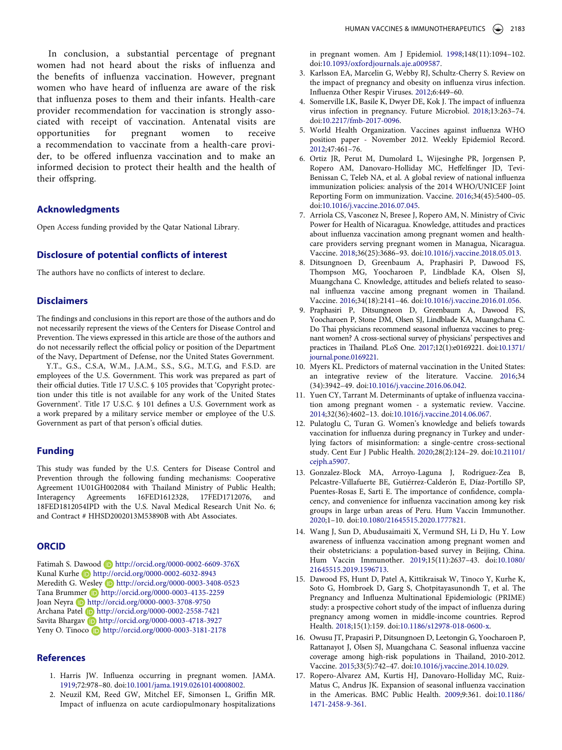In conclusion, a substantial percentage of pregnant women had not heard about the risks of influenza and the benefits of influenza vaccination. However, pregnant women who have heard of influenza are aware of the risk that influenza poses to them and their infants. Health-care provider recommendation for vaccination is strongly associated with receipt of vaccination. Antenatal visits are opportunities for pregnant women to receive a recommendation to vaccinate from a health-care provider, to be offered influenza vaccination and to make an informed decision to protect their health and the health of their offspring.

# **Acknowledgments**

Open Access funding provided by the Qatar National Library.

# **Disclosure of potential conflicts of interest**

The authors have no conflicts of interest to declare.

#### **Disclaimers**

The findings and conclusions in this report are those of the authors and do not necessarily represent the views of the Centers for Disease Control and Prevention. The views expressed in this article are those of the authors and do not necessarily reflect the official policy or position of the Department of the Navy, Department of Defense, nor the United States Government.

Y.T., G.S., C.S.A, W.M., J.A.M., S.S., S.G., M.T.G, and F.S.D. are employees of the U.S. Government. This work was prepared as part of their official duties. Title 17 U.S.C. § 105 provides that 'Copyright protection under this title is not available for any work of the United States Government'. Title 17 U.S.C. § 101 defines a U.S. Government work as a work prepared by a military service member or employee of the U.S. Government as part of that person's official duties.

#### **Funding**

This study was funded by the U.S. Centers for Disease Control and Prevention through the following funding mechanisms: Cooperative Agreement 1U01GH002084 with Thailand Ministry of Public Health; Interagency Agreements 16FED1612328, 17FED1712076, and 18FED1812054IPD with the U.S. Naval Medical Research Unit No. 6; and Contract # HHSD2002013M53890B with Abt Associates.

#### **ORCID**

Fatimah S. Dawood **b** http://orcid.org/0000-0002-6609-376X Kunal Kurhe D http://orcid.org/0000-0002-6032-8943 Meredith G. Wesley **b** http://orcid.org/0000-0003-3408-0523 Tana Brummer **b** http://orcid.org/0000-0003-4135-2259 Joan Neyra **b** http://orcid.org/0000-0003-3708-9750 Archana Patel D http://orcid.org/0000-0002-2558-7421 Savita Bhargav **b** http://orcid.org/0000-0003-4718-3927 Yeny O. Tinoco **b** http://orcid.org/0000-0003-3181-2178

#### **References**

- <span id="page-9-0"></span>1. Harris JW. Influenza occurring in pregnant women. JAMA. [1919;](#page-2-6)72:978–80. doi:[10.1001/jama.1919.02610140008002](https://doi.org/10.1001/jama.1919.02610140008002).
- 2. Neuzil KM, Reed GW, Mitchel EF, Simonsen L, Griffin MR. Impact of influenza on acute cardiopulmonary hospitalizations

in pregnant women. Am J Epidemiol. 1998;148(11):1094–102. doi:[10.1093/oxfordjournals.aje.a009587](https://doi.org/10.1093/oxfordjournals.aje.a009587).

- 3. Karlsson EA, Marcelin G, Webby RJ, Schultz-Cherry S. Review on the impact of pregnancy and obesity on influenza virus infection. Influenza Other Respir Viruses. 2012;6:449–60.
- 4. Somerville LK, Basile K, Dwyer DE, Kok J. The impact of influenza virus infection in pregnancy. Future Microbiol. 2018;13:263–74. doi:[10.2217/fmb-2017-0096](https://doi.org/10.2217/fmb-2017-0096).
- <span id="page-9-1"></span>5. World Health Organization. Vaccines against influenza WHO position paper - November 2012. Weekly Epidemiol Record. [2012;](#page-2-7)47:461–76.
- <span id="page-9-2"></span>6. Ortiz JR, Perut M, Dumolard L, Wijesinghe PR, Jorgensen P, Ropero AM, Danovaro-Holliday MC, Heffelfinger JD, Tevi-Benissan C, Teleb NA, et al. A global review of national influenza immunization policies: analysis of the 2014 WHO/UNICEF Joint Reporting Form on immunization. Vaccine. [2016](#page-2-8);34(45):5400–05. doi:[10.1016/j.vaccine.2016.07.045.](https://doi.org/10.1016/j.vaccine.2016.07.045)
- <span id="page-9-3"></span>7. Arriola CS, Vasconez N, Bresee J, Ropero AM, N. Ministry of Civic Power for Health of Nicaragua. Knowledge, attitudes and practices about influenza vaccination among pregnant women and healthcare providers serving pregnant women in Managua, Nicaragua. Vaccine. [2018](#page-2-9);36(25):3686–93. doi:[10.1016/j.vaccine.2018.05.013](https://doi.org/10.1016/j.vaccine.2018.05.013).
- <span id="page-9-7"></span>8. Ditsungnoen D, Greenbaum A, Praphasiri P, Dawood FS, Thompson MG, Yoocharoen P, Lindblade KA, Olsen SJ, Muangchana C. Knowledge, attitudes and beliefs related to seasonal influenza vaccine among pregnant women in Thailand. Vaccine. [2016](#page-8-0);34(18):2141–46. doi:[10.1016/j.vaccine.2016.01.056](https://doi.org/10.1016/j.vaccine.2016.01.056).
- <span id="page-9-8"></span>9. Praphasiri P, Ditsungneon D, Greenbaum A, Dawood FS, Yoocharoen P, Stone DM, Olsen SJ, Lindblade KA, Muangchana C. Do Thai physicians recommend seasonal influenza vaccines to pregnant women? A cross-sectional survey of physicians' perspectives and practices in Thailand. PLoS One. [2017](#page-8-1);12(1):e0169221. doi:[10.1371/](https://doi.org/10.1371/journal.pone.0169221)  [journal.pone.0169221](https://doi.org/10.1371/journal.pone.0169221).
- 10. Myers KL. Predictors of maternal vaccination in the United States: an integrative review of the literature. Vaccine. 2016;34 (34):3942–49. doi:[10.1016/j.vaccine.2016.06.042.](https://doi.org/10.1016/j.vaccine.2016.06.042)
- 11. Yuen CY, Tarrant M. Determinants of uptake of influenza vaccination among pregnant women - a systematic review. Vaccine. 2014;32(36):4602–13. doi:[10.1016/j.vaccine.2014.06.067](https://doi.org/10.1016/j.vaccine.2014.06.067).
- 12. Pulatoglu C, Turan G. Women's knowledge and beliefs towards vaccination for influenza during pregnancy in Turkey and underlying factors of misinformation: a single-centre cross-sectional study. Cent Eur J Public Health. 2020;28(2):124–29. doi:[10.21101/](https://doi.org/10.21101/cejph.a5907)  [cejph.a5907.](https://doi.org/10.21101/cejph.a5907)
- 13. Gonzalez-Block MA, Arroyo-Laguna J, Rodriguez-Zea B, Pelcastre-Villafuerte BE, Gutiérrez-Calderón E, Díaz-Portillo SP, Puentes-Rosas E, Sarti E. The importance of confidence, complacency, and convenience for influenza vaccination among key risk groups in large urban areas of Peru. Hum Vaccin Immunother. 2020;1–10. doi:[10.1080/21645515.2020.1777821](https://doi.org/10.1080/21645515.2020.1777821).
- 14. Wang J, Sun D, Abudusaimaiti X, Vermund SH, Li D, Hu Y. Low awareness of influenza vaccination among pregnant women and their obstetricians: a population-based survey in Beijing, China. Hum Vaccin Immunother. 2019;15(11):2637–43. doi:[10.1080/](https://doi.org/10.1080/21645515.2019.1596713)  [21645515.2019.1596713.](https://doi.org/10.1080/21645515.2019.1596713)
- <span id="page-9-4"></span>15. Dawood FS, Hunt D, Patel A, Kittikraisak W, Tinoco Y, Kurhe K, Soto G, Hombroek D, Garg S, Chotpitayasunondh T, et al. The Pregnancy and Influenza Multinational Epidemiologic (PRIME) study: a prospective cohort study of the impact of influenza during pregnancy among women in middle-income countries. Reprod Health. [2018](#page-2-10);15(1):159. doi:[10.1186/s12978-018-0600-x](https://doi.org/10.1186/s12978-018-0600-x).
- <span id="page-9-5"></span>16. Owusu JT, Prapasiri P, Ditsungnoen D, Leetongin G, Yoocharoen P, Rattanayot J, Olsen SJ, Muangchana C. Seasonal influenza vaccine coverage among high-risk populations in Thailand, 2010-2012. Vaccine. [2015](#page-3-1);33(5):742–47. doi:[10.1016/j.vaccine.2014.10.029.](https://doi.org/10.1016/j.vaccine.2014.10.029)
- <span id="page-9-6"></span>17. Ropero-Alvarez AM, Kurtis HJ, Danovaro-Holliday MC, Ruiz-Matus C, Andrus JK. Expansion of seasonal influenza vaccination in the Americas. BMC Public Health. [2009](#page-3-2);9:361. doi:[10.1186/](https://doi.org/10.1186/1471-2458-9-361)  [1471-2458-9-361](https://doi.org/10.1186/1471-2458-9-361).